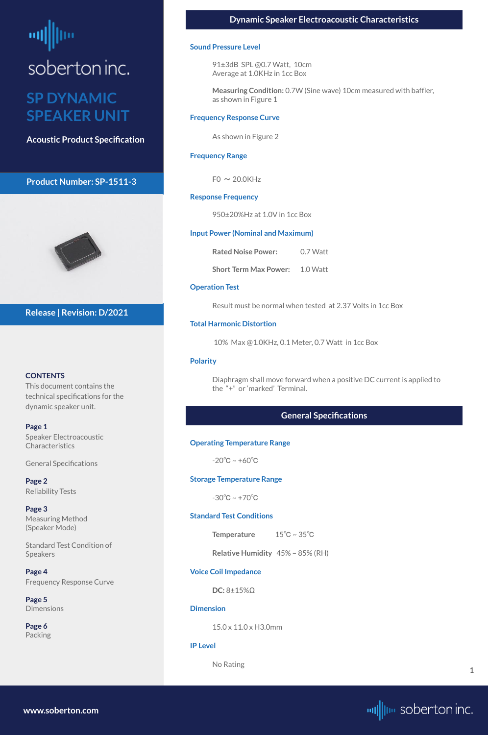# <span id="page-0-0"></span>soberton inc.

### **SP DYNAMIC SPEAKER UNIT**

**Acoustic Product Specification**

#### **Product Number: SP-1511-3**



#### **CONTENTS**

This document contains the technical specifications for the dynamic speaker unit.

#### **Page 1**

**[Page 5](#page-4-0) [Dimensions](#page-4-0)** 

Speaker Electroacoustic Characteristics

General Specifications

**[Page 2](#page-1-0)** [Reliability Test](#page-1-0)s

**[Page 3](#page-2-0)** [Measuring Method](#page-2-0)  [\(Speaker Mode\)](#page-2-0)

[Standard Test Condition of](#page-1-0)  [Speakers](#page-1-0)

**[Page 4](#page-3-0)** [Frequency Response Curve](#page-3-0)

**[Page 6](#page-5-0)** [Packing](#page-5-0)

**Release | Revision: D/2021**

#### **Sound Pressure Level**

91±3dB SPL @0.7 Watt, 10cm Average at 1.0KHz in 1cc Box

**Measuring Condition:** 0.7W (Sine wave) 10cm measured with baffler, as shown in Figure 1

#### **Frequency Response Curve**

As shown in Figure 2

#### **Frequency Range**

 $F0 \sim 20.0K$ Hz

#### **Response Frequency**

950±20%Hz at 1.0V in 1cc Box

#### **Input Power (Nominal and Maximum)**

**Rated Noise Power:** 0.7 Watt

**Short Term Max Power:** 1.0 Watt

#### **Operation Test**

Result must be normal when tested at 2.37 Volts in 1cc Box

#### **Total Harmonic Distortion**

10% Max @1.0KHz, 0.1 Meter, 0.7 Watt in 1cc Box

#### **Polarity**

Diaphragm shall move forward when a positive DC current is applied to the "+" or 'marked' Terminal.

#### **General Specifications**

#### **Operating Temperature Range**

 $-20^{\circ}$ C ~ +60 $^{\circ}$ C

#### **Storage Temperature Range**

 $-30^{\circ}$ C ~  $+70^{\circ}$ C

#### **Standard Test Conditions**

**Temperature** 15℃ ~ 35℃

**Relative Humidity** 45% ~ 85% (RH)

**Voice Coil Impedance** 

**DC:** 8±15%Ω

**Dimension** 

15.0 x 11.0 x H3.0mm

**IP Level**

No Rating

**[www.soberton.com](http://www.soberton.com)**



**1**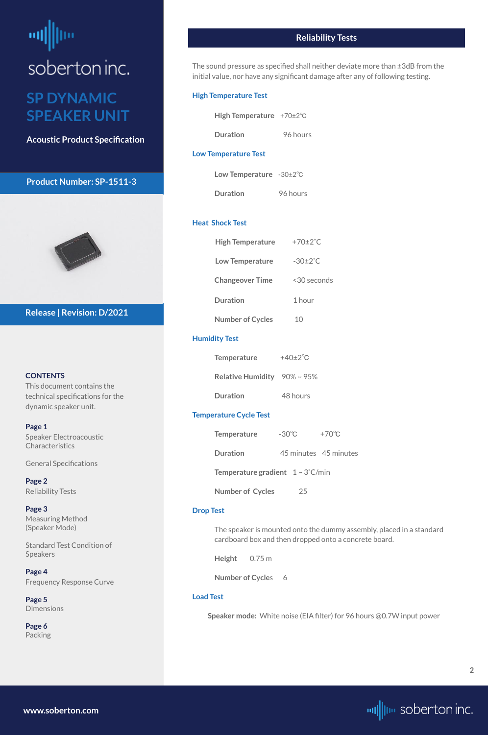### <span id="page-1-0"></span>ᆒ soberton inc. **SP DYNAMIC**

## **SPEAKER UNIT**

**Acoustic Product Specification**

#### **Product Number: SP-1511-3**



#### **CONTENTS**

This document contains the technical specifications for the dynamic speaker unit.

**[Page 1](#page-0-0)** [Speaker Electroacoustic](#page-0-0) 

**Characteristics** 

[General S](#page-0-0)pecifications

**Page 2** Reliability Tests

**[Page 3](#page-2-0)** [Measuring Method](#page-2-0)  [\(Speaker Mode\)](#page-2-0)

Standard Test Condition of Speakers

**[Page 4](#page-3-0)** [Frequency Response Curve](#page-3-0)

**[Page 5](#page-4-0)** [Dimensions](#page-4-0)

**[Page 6](#page-5-0)** [Packing](#page-5-0)

**Release | Revision: D/2021**

#### **Reliability Tests**

The sound pressure as specified shall neither deviate more than ±3dB from the initial value, nor have any significant damage after any of following testing.

#### **High Temperature Test**

| <b>High Temperature</b> | $+70\pm2\degree C$ |
|-------------------------|--------------------|
|-------------------------|--------------------|

#### **Low Temperature Test**

| Low Temperature $-30\pm2\degree$ C |  |
|------------------------------------|--|
|                                    |  |

**Duration** 96 hours

#### **Heat Shock Test**

| <b>High Temperature</b> | $+70\pm2^{\circ}$ C   |
|-------------------------|-----------------------|
| <b>Low Temperature</b>  | -30 $\pm 2^{\circ}$ C |
| <b>Changeover Time</b>  | <30 seconds           |
| Duration                | 1 hour                |
| <b>Number of Cycles</b> | 10                    |

#### **Humidity Test**

| <b>Temperature</b>                 | $+40\pm2\degree$ C |
|------------------------------------|--------------------|
| Relative Humidity $90\% \sim 95\%$ |                    |
| <b>Duration</b>                    | 48 hours           |

#### **Temperature Cycle Test**

| <b>Temperature</b>                                   | $-30^{\circ}$ C | $+70^{\circ}$ C       |
|------------------------------------------------------|-----------------|-----------------------|
| Duration                                             |                 | 45 minutes 45 minutes |
| <b>Temperature gradient</b> $1 \sim 3^{\circ}$ C/min |                 |                       |
| <b>Number of Cycles</b>                              | 25              |                       |

#### **Drop Test**

The speaker is mounted onto the dummy assembly, placed in a standard cardboard box and then dropped onto a concrete board.

**Height** 0.75 m

**Number of Cycles** 6

#### **Load Test**

**Speaker mode:** White noise (EIA filter) for 96 hours @0.7W input power

**[www.soberton.com](http://www.soberton.com)**

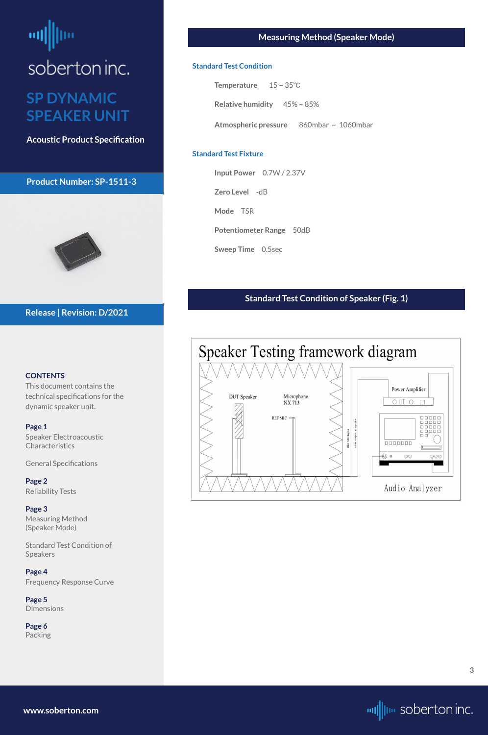### <span id="page-2-0"></span>ᆒ soberton inc. **SP DYNAMIC SPEAKER UNIT**

**Acoustic Product Specification**

#### **Product Number: SP-1511-3**



#### **CONTENTS**

[Speaker Electroacoustic](#page-0-0)  **Characteristics** 

This document contains the technical specifications for the dynamic speaker unit.

#### **[Page 1](#page-0-0)**

[General S](#page-0-0)pecifications

**[Page 2](#page-1-0)** [Reliability Test](#page-1-0)s

**Page 3** Measuring Method (Speaker Mode)

[Standard Test Condition of](#page-1-0)  [Speakers](#page-1-0)

**[Page 4](#page-3-0)** [Frequency Response Curve](#page-3-0)

**[Page 5](#page-4-0)** [Dimensions](#page-4-0)

**[Page 6](#page-5-0)** [Packing](#page-5-0)

#### **Release | Revision: D/2021**

#### **Measuring Method (Speaker Mode)**

#### **Standard Test Condition**

| <b>Temperature</b> | $15 \sim 35^{\circ}C$ |
|--------------------|-----------------------|
|                    |                       |

**Relative humidity** 45% ~ 85%

**Atmospheric pressure** 860mbar ~ 1060mbar

#### **Standard Test Fixture**

**Input Power** 0.7W / 2.37V

**Zero Level** -dB

**Mode** TSR

**Potentiometer Range** 50dB

**Sweep Time** 0.5sec

#### **Standard Test Condition of Speaker (Fig. 1)**



**[www.soberton.com](http://www.soberton.com)**

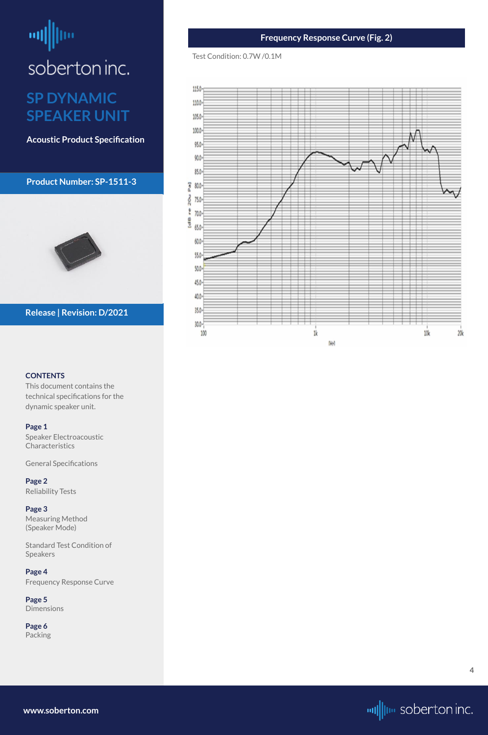# <span id="page-3-0"></span>millim soberton inc.

### **SP DYNAMIC SPEAKER UNIT**

**Acoustic Product Specification**

#### **Product Number: SP-1511-3**



#### **CONTENTS**

[Speaker Electroacoustic](#page-0-0)  **Characteristics** 

This document contains the technical specifications for the dynamic speaker unit.

#### **[Page 1](#page-0-0)**

[General S](#page-0-0)pecifications

**[Page 2](#page-1-0)** [Reliability Test](#page-1-0)s

**[Page 3](#page-2-0)** [Measuring Method](#page-2-0)  [\(Speaker Mode\)](#page-2-0)

[Standard Test Condition of](#page-1-0)  [Speakers](#page-1-0)

**Page 4** Frequency Response Curve

**[Page 5](#page-4-0)** [Dimensions](#page-4-0)

**[Page 6](#page-5-0)** [Packing](#page-5-0)

#### **Release | Revision: D/2021**

#### **Frequency Response Curve (Fig. 2)**

#### Test Condition: 0.7W /0.1M



**[www.soberton.com](http://www.soberton.com)**



**4**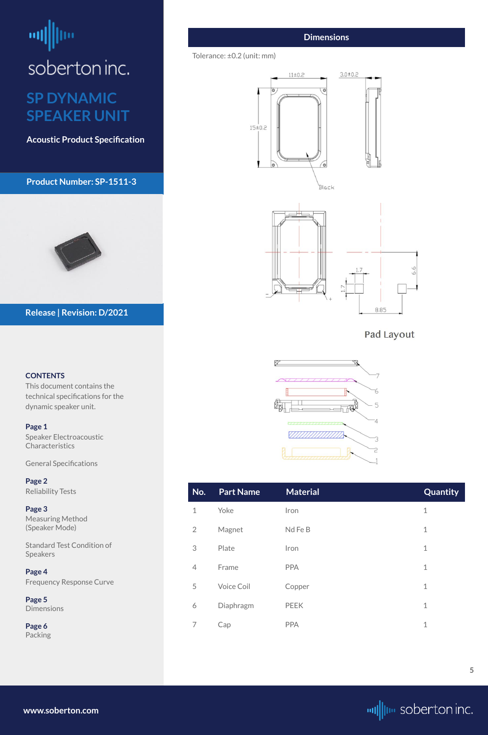# <span id="page-4-0"></span>шĮ soberton inc.

### **SP DYNAMIC SPEAKER UNIT**

**Acoustic Product Specification**

#### **Product Number: SP-1511-3**



#### **CONTENTS**

[Speaker Electroacoustic](#page-0-0)  **Characteristics** 

This document contains the technical specifications for the dynamic speaker unit.

#### **[Page 1](#page-0-0)**

[General S](#page-0-0)pecifications

**[Page 2](#page-1-0)** [Reliability Test](#page-1-0)s

**[Page 3](#page-2-0)** [Measuring Method](#page-2-0)  [\(Speaker Mode\)](#page-2-0)

[Standard Test Condition of](#page-1-0)  [Speakers](#page-1-0)

**[Page 4](#page-3-0)** [Frequency Response Curve](#page-3-0)

**Page 5** Dimensions

**[Page 6](#page-5-0)** [Packing](#page-5-0)

#### **Release | Revision: D/2021**



#### **Dimensions**

#### Tolerance: ±0.2 (unit: mm)











| No.            | Part Name | <b>Material</b> | <b>Quantity</b> |
|----------------|-----------|-----------------|-----------------|
| 1              | Yoke      | Iron            |                 |
| $\overline{2}$ | Magnet    | Nd Fe B         |                 |
| 3              | Plate     | Iron            |                 |

| 4 | Frame      | <b>PPA</b>  |  |
|---|------------|-------------|--|
| 5 | Voice Coil | Copper      |  |
| 6 | Diaphragm  | <b>PEEK</b> |  |
|   | Cap        | PPA         |  |